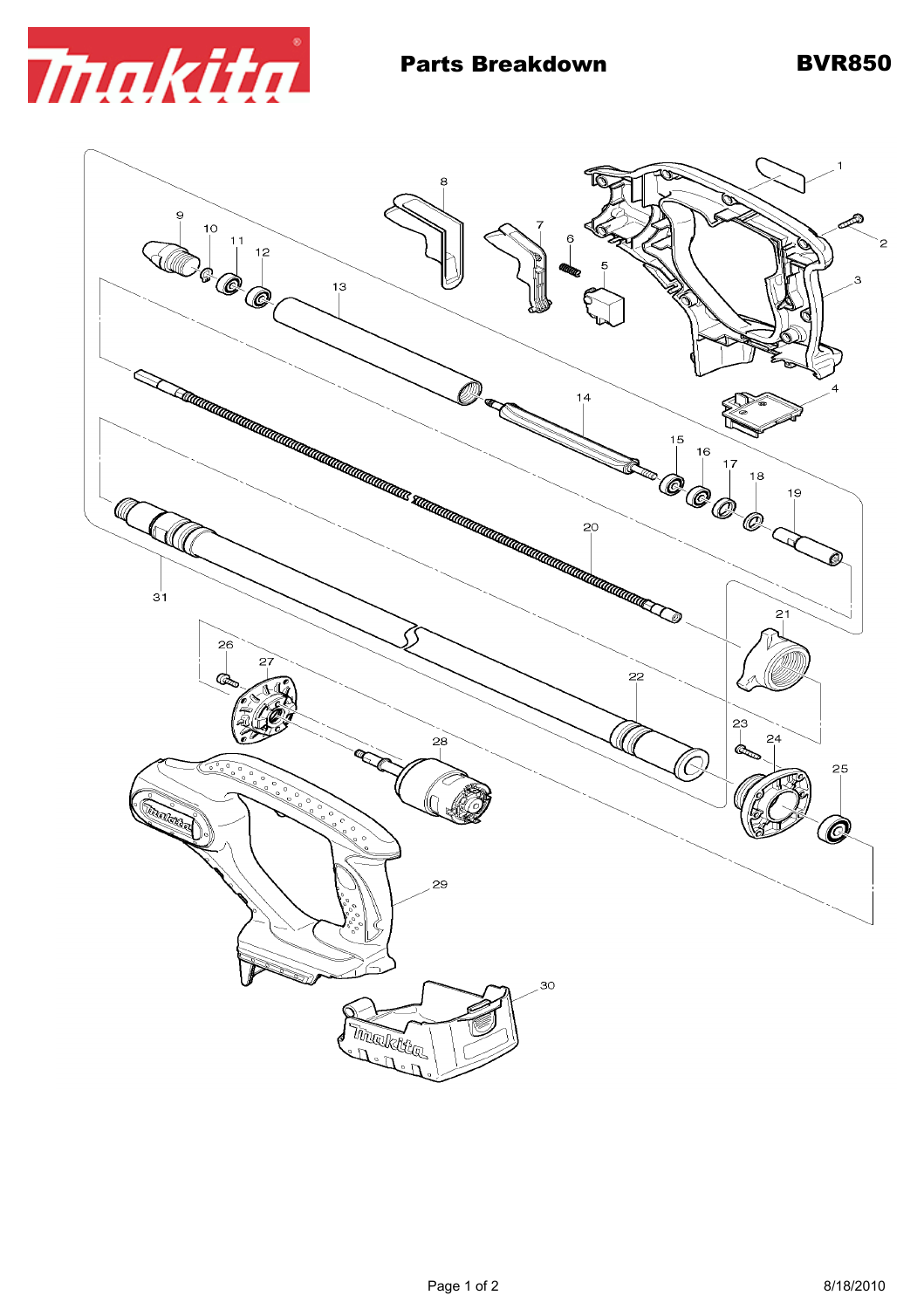

 $\bf{8}$ Ò 9  $10$  $\begin{array}{c} \begin{array}{c} \hline 11 \\ \hline \end{array} \end{array}$ 3  $13$ 16 **COCO** 18 H 19 @  $3<sup>1</sup>$  $21$ 26 OT.  $22$ Œ. 23  $\overline{24}$  $28$ (6 25  $\tilde{0}$ ॆ Concellors of Ô 29 30 Tingkitte Called Company of the Company of the Company of the Company of the Company of the Company of the Company of the Company of the Company of the Company of the Company of the Company of the Company of the Company of the Compa